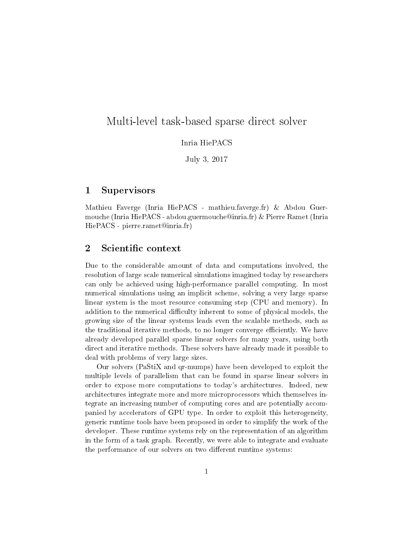## Multi-level task-based sparse direct solver

Inria HiePACS

July 3, 2017

#### 1 Supervisors

Mathieu Faverge (Inria HiePACS - mathieu.faverge.fr) & Abdou Guermouche (Inria HiePACS - abdou.guermouche@inria.fr) & Pierre Ramet (Inria HiePACS - pierre.ramet@inria.fr)

### 2 Scientific context

Due to the considerable amount of data and computations involved, the resolution of large scale numerical simulations imagined today by researchers can only be achieved using high-performance parallel computing. In most numerical simulations using an implicit scheme, solving a very large sparse linear system is the most resource consuming step (CPU and memory). In addition to the numerical difficulty inherent to some of physical models, the growing size of the linear systems leads even the scalable methods, such as the traditional iterative methods, to no longer converge efficiently. We have already developed parallel sparse linear solvers for many years, using both direct and iterative methods. These solvers have already made it possible to deal with problems of very large sizes.

Our solvers (PaStiX and qr-mumps) have been developed to exploit the multiple levels of parallelism that can be found in sparse linear solvers in order to expose more computations to today's architectures. Indeed, new architectures integrate more and more microprocessors which themselves integrate an increasing number of computing cores and are potentially accompanied by accelerators of GPU type. In order to exploit this heterogeneity, generic runtime tools have been proposed in order to simplify the work of the developer. These runtime systems rely on the representation of an algorithm in the form of a task graph. Recently, we were able to integrate and evaluate the performance of our solvers on two different runtime systems: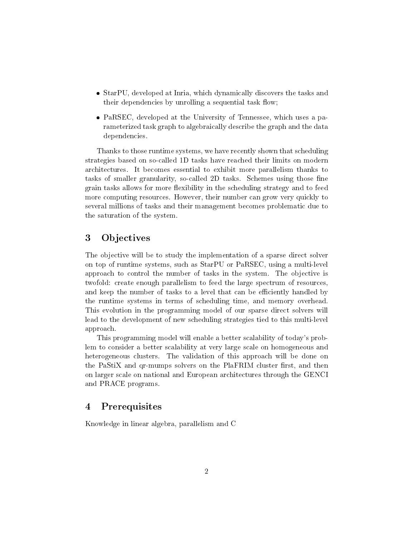- StarPU, developed at Inria, which dynamically discovers the tasks and their dependencies by unrolling a sequential task flow;
- PaRSEC, developed at the University of Tennessee, which uses a parameterized task graph to algebraically describe the graph and the data dependencies.

Thanks to those runtime systems, we have recently shown that scheduling strategies based on so-called 1D tasks have reached their limits on modern architectures. It becomes essential to exhibit more parallelism thanks to tasks of smaller granularity, so-called 2D tasks. Schemes using those fine grain tasks allows for more flexibility in the scheduling strategy and to feed more computing resources. However, their number can grow very quickly to several millions of tasks and their management becomes problematic due to the saturation of the system.

### 3 Objectives

The objective will be to study the implementation of a sparse direct solver on top of runtime systems, such as StarPU or PaRSEC, using a multi-level approach to control the number of tasks in the system. The objective is twofold: create enough parallelism to feed the large spectrum of resources, and keep the number of tasks to a level that can be efficiently handled by the runtime systems in terms of scheduling time, and memory overhead. This evolution in the programming model of our sparse direct solvers will lead to the development of new scheduling strategies tied to this multi-level approach.

This programming model will enable a better scalability of today's problem to consider a better scalability at very large scale on homogeneous and heterogeneous clusters. The validation of this approach will be done on the PaStiX and qr-mumps solvers on the PlaFRIM cluster first, and then on larger scale on national and European architectures through the GENCI and PRACE programs.

### 4 Prerequisites

Knowledge in linear algebra, parallelism and C